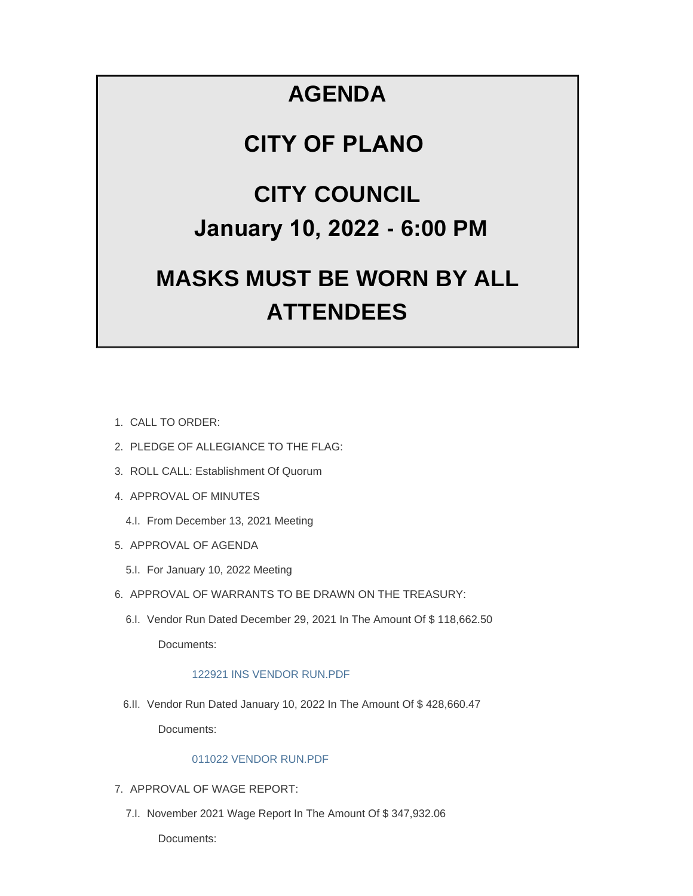# **AGENDA**

# **CITY OF PLANO**

# **CITY COUNCIL January 10, 2022 - 6:00 PM**

# **MASKS MUST BE WORN BY ALL ATTENDEES**

- CALL TO ORDER: 1.
- 2. PLEDGE OF ALLEGIANCE TO THE FLAG:
- 3. ROLL CALL: Establishment Of Quorum
- 4. APPROVAL OF MINUTES
	- 4.I. From December 13, 2021 Meeting
- 5. APPROVAL OF AGENDA
	- 5.I. For January 10, 2022 Meeting
- 6. APPROVAL OF WARRANTS TO BE DRAWN ON THE TREASURY:
	- 6.I. Vendor Run Dated December 29, 2021 In The Amount Of \$118,662.50 Documents:

## [122921 INS VENDOR RUN.PDF](https://www.cityofplanoil.com/AgendaCenter/ViewFile/Item/8591?fileID=2425)

6.II. Vendor Run Dated January 10, 2022 In The Amount Of \$428,660.47

Documents:

### [011022 VENDOR RUN.PDF](https://www.cityofplanoil.com/AgendaCenter/ViewFile/Item/8596?fileID=2428)

- 7. APPROVAL OF WAGE REPORT:
	- 7.I. November 2021 Wage Report In The Amount Of \$347,932.06

Documents: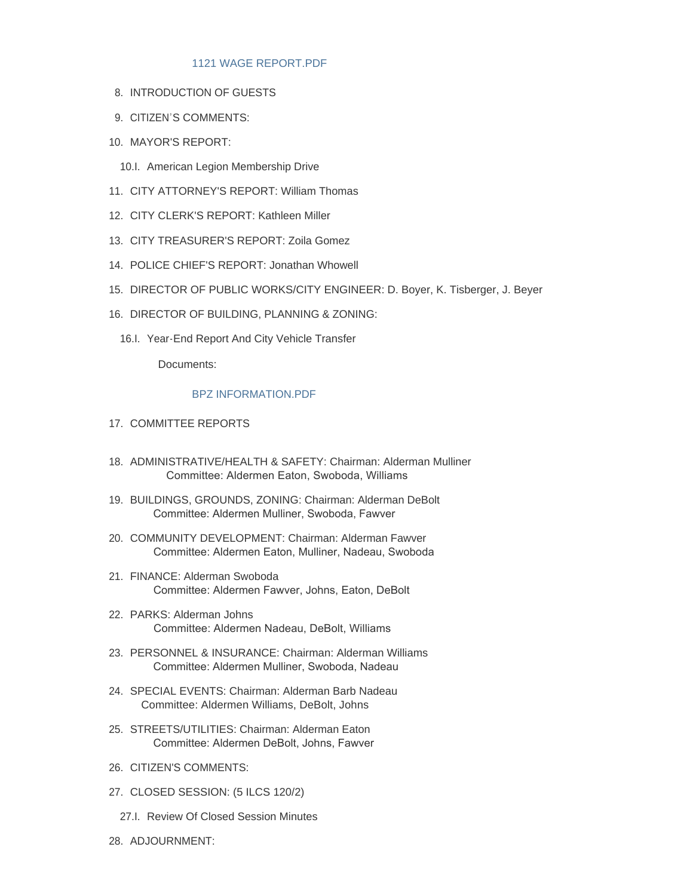### [1121 WAGE REPORT.PDF](https://www.cityofplanoil.com/AgendaCenter/ViewFile/Item/8592?fileID=2426)

- 8. INTRODUCTION OF GUESTS
- 9. CITIZEN'S COMMENTS:
- 10. MAYOR'S REPORT:
	- 10.I. American Legion Membership Drive
- CITY ATTORNEY'S REPORT: William Thomas 11.
- 12. CITY CLERK'S REPORT: Kathleen Miller
- CITY TREASURER'S REPORT: Zoila Gomez 13.
- 14. POLICE CHIEF'S REPORT: Jonathan Whowell
- 15. DIRECTOR OF PUBLIC WORKS/CITY ENGINEER: D. Boyer, K. Tisberger, J. Beyer
- 16. DIRECTOR OF BUILDING, PLANNING & ZONING:
	- 16.I. Year-End Report And City Vehicle Transfer

Documents:

#### [BPZ INFORMATION.PDF](https://www.cityofplanoil.com/AgendaCenter/ViewFile/Item/8594?fileID=2427)

- 17. COMMITTEE REPORTS
- ADMINISTRATIVE/HEALTH & SAFETY: Chairman: Alderman Mulliner 18. Committee: Aldermen Eaton, Swoboda, Williams
- BUILDINGS, GROUNDS, ZONING: Chairman: Alderman DeBolt 19. Committee: Aldermen Mulliner, Swoboda, Fawver
- 20. COMMUNITY DEVELOPMENT: Chairman: Alderman Fawver Committee: Aldermen Eaton, Mulliner, Nadeau, Swoboda
- FINANCE: Alderman Swoboda 21. Committee: Aldermen Fawver, Johns, Eaton, DeBolt
- PARKS: Alderman Johns 22. Committee: Aldermen Nadeau, DeBolt, Williams
- PERSONNEL & INSURANCE: Chairman: Alderman Williams 23. Committee: Aldermen Mulliner, Swoboda, Nadeau
- 24. SPECIAL EVENTS: Chairman: Alderman Barb Nadeau Committee: Aldermen Williams, DeBolt, Johns
- 25. STREETS/UTILITIES: Chairman: Alderman Eaton Committee: Aldermen DeBolt, Johns, Fawver
- 26. CITIZEN'S COMMENTS:
- CLOSED SESSION: (5 ILCS 120/2) 27.
	- 27.I. Review Of Closed Session Minutes
- 28. ADJOURNMENT: